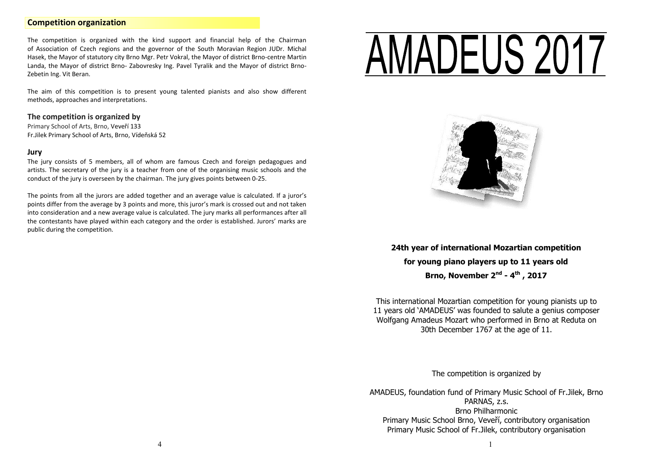## **Competition organization**

The competition is organized with the kind support and financial help of the Chairman of Association of Czech regions and the governor of the South Moravian Region JUDr. Michal Hasek, the Mayor of statutory city Brno Mgr. Petr Vokral, the Mayor of district Brno-centre Martin Landa, the Mayor of district Brno- Zabovresky Ing. Pavel Tyralik and the Mayor of district Brno-Zebetin Ing. Vit Beran.

The aim of this competition is to present young talented pianists and also show different methods, approaches and interpretations.

#### **The competition is organized by**

Primary School of Arts, Brno, Veveří 133 Fr.Jilek Primary School of Arts, Brno, Vídeňská 52

## **Jury**

The jury consists of 5 members, all of whom are famous Czech and foreign pedagogues and artists. The secretary of the jury is a teacher from one of the organising music schools and the conduct of the jury is overseen by the chairman. The jury gives points between 0-25.

The points from all the jurors are added together and an average value is calculated. If a juror's points differ from the average by 3 points and more, this juror's mark is crossed out and not taken into consideration and a new average value is calculated. The jury marks all performances after all the contestants have played within each category and the order is established. Jurors' marks are public during the competition.

# *JADEUS 2017* Ī



**24th year of international Mozartian competition for young piano players up to 11 years old Brno, November 2nd - 4 th , 2017**

This international Mozartian competition for young pianists up to 11 years old 'AMADEUS' was founded to salute a genius composer Wolfgang Amadeus Mozart who performed in Brno at Reduta on 30th December 1767 at the age of 11.

The competition is organized by

AMADEUS, foundation fund of Primary Music School of Fr.Jilek, Brno PARNAS, z.s. Brno Philharmonic Primary Music School Brno, Veveří, contributory organisation Primary Music School of Fr.Jilek, contributory organisation